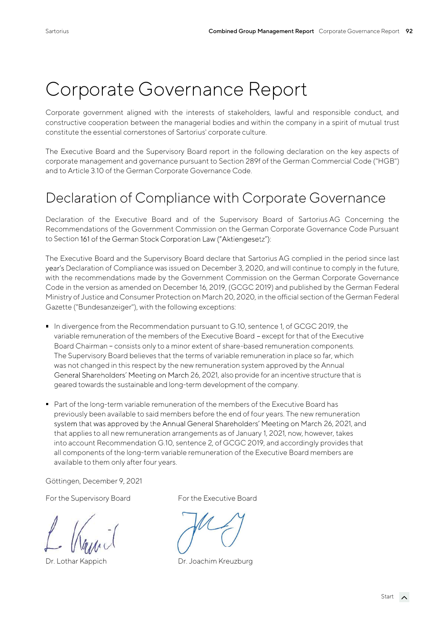# Corporate Governance Report

Corporate government aligned with the interests of stakeholders, lawful and responsible conduct, and constructive cooperation between the managerial bodies and within the company in a spirit of mutual trust constitute the essential cornerstones of Sartorius' corporate culture.

The Executive Board and the Supervisory Board report in the following declaration on the key aspects of corporate management and governance pursuant to Section 289f of the German Commercial Code ("HGB") and to Article 3.10 of the German Corporate Governance Code.

### Declaration of Compliance with Corporate Governance

Declaration of the Executive Board and of the Supervisory Board of Sartorius AG Concerning the Recommendations of the Government Commission on the German Corporate Governance Code Pursuant to Section 161 of the German Stock Corporation Law ("Aktiengesetz"):

The Executive Board and the Supervisory Board declare that Sartorius AG complied in the period since last year's Declaration of Compliance was issued on December 3, 2020, and will continue to comply in the future, with the recommendations made by the Government Commission on the German Corporate Governance Code in the version as amended on December 16, 2019, (GCGC 2019) and published by the German Federal Ministry of Justice and Consumer Protection on March 20, 2020, in the official section of the German Federal Gazette ("Bundesanzeiger"), with the following exceptions:

- In divergence from the Recommendation pursuant to G.10, sentence 1, of GCGC 2019, the variable remuneration of the members of the Executive Board except for that of the Executive Board Chairman - consists only to a minor extent of share-based remuneration components. The Supervisory Board believes that the terms of variable remuneration in place so far, which was not changed in this respect by the new remuneration system approved by the Annual General Shareholders' Meeting on March 26, 2021, also provide for an incentive structure that is geared towards the sustainable and long-term development of the company.
- Part of the long-term variable remuneration of the members of the Executive Board has previously been available to said members before the end of four years. The new remuneration system that was approved by the Annual General Shareholders' Meeting on March 26, 2021, and that applies to all new remuneration arrangements as of January 1, 2021, now, however, takes into account Recommendation G.10, sentence 2, of GCGC 2019, and accordingly provides that all components of the long-term variable remuneration of the Executive Board members are available to them only after four years.

Göttingen, December 9, 2021

For the Supervisory Board For the Executive Board

Dr. Lothar Kappich Dr. Joachim Kreuzburg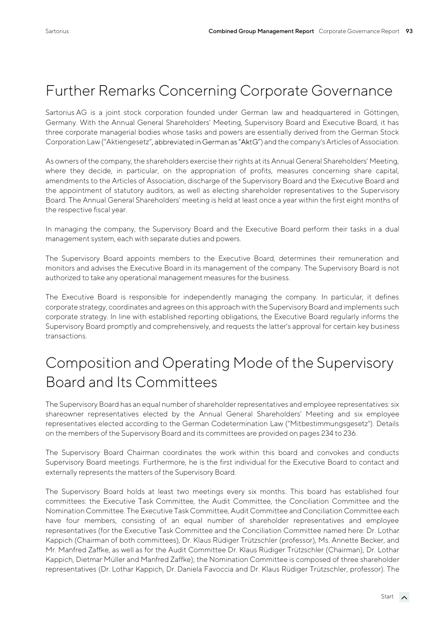### Further Remarks Concerning Corporate Governance

Sartorius AG is a joint stock corporation founded under German law and headquartered in Göttingen, Germany. With the Annual General Shareholders' Meeting, Supervisory Board and Executive Board, it has three corporate managerial bodies whose tasks and powers are essentially derived from the German Stock Corporation Law ("Aktiengesetz", abbreviated in German as "AktG") and the company's Articles of Association.

As owners of the company, the shareholders exercise their rights at its Annual General Shareholders' Meeting, where they decide, in particular, on the appropriation of profits, measures concerning share capital, amendments to the Articles of Association, discharge of the Supervisory Board and the Executive Board and the appointment of statutory auditors, as well as electing shareholder representatives to the Supervisory Board. The Annual General Shareholders' meeting is held at least once a year within the first eight months of the respective fiscal year.

In managing the company, the Supervisory Board and the Executive Board perform their tasks in a dual management system, each with separate duties and powers.

The Supervisory Board appoints members to the Executive Board, determines their remuneration and monitors and advises the Executive Board in its management of the company. The Supervisory Board is not authorized to take any operational management measures for the business.

The Executive Board is responsible for independently managing the company. In particular, it defines corporate strategy, coordinates and agrees on this approach with the Supervisory Board and implements such corporate strategy. In line with established reporting obligations, the Executive Board regularly informs the Supervisory Board promptly and comprehensively, and requests the latter's approval for certain key business transactions.

# Composition and Operating Mode of the Supervisory Board and Its Committees

The Supervisory Board has an equal number of shareholder representatives and employee representatives: six shareowner representatives elected by the Annual General Shareholders' Meeting and six employee representatives elected according to the German Codetermination Law ("Mitbestimmungsgesetz"). Details on the members of the Supervisory Board and its committees are provided on pages 234 to 236.

The Supervisory Board Chairman coordinates the work within this board and convokes and conducts Supervisory Board meetings. Furthermore, he is the first individual for the Executive Board to contact and externally represents the matters of the Supervisory Board.

The Supervisory Board holds at least two meetings every six months. This board has established four committees: the Executive Task Committee, the Audit Committee, the Conciliation Committee and the Nomination Committee. The Executive Task Committee, Audit Committee and Conciliation Committee each have four members, consisting of an equal number of shareholder representatives and employee representatives (for the Executive Task Committee and the Conciliation Committee named here: Dr. Lothar Kappich (Chairman of both committees), Dr. Klaus Rüdiger Trützschler (professor), Ms. Annette Becker, and Mr. Manfred Zaffke, as well as for the Audit Committee Dr. Klaus Rüdiger Trützschler (Chairman), Dr. Lothar Kappich, Dietmar Müller and Manfred Zaffke); the Nomination Committee is composed of three shareholder representatives (Dr. Lothar Kappich, Dr. Daniela Favoccia and Dr. Klaus Rüdiger Trützschler, professor). The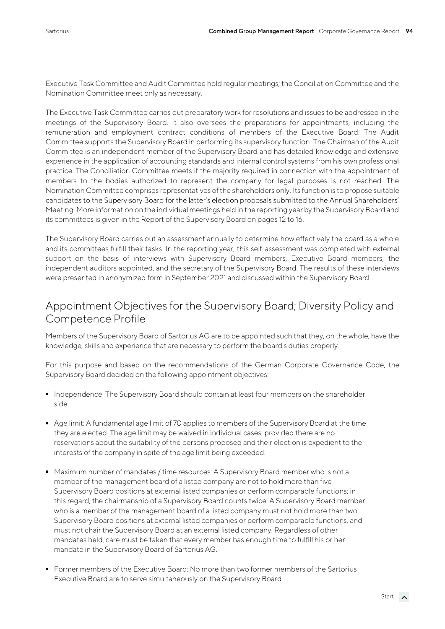Executive Task Committee and Audit Committee hold regular meetings; the Conciliation Committee and the Nomination Committee meet only as necessary.

The Executive Task Committee carries out preparatory work for resolutions and issues to be addressed in the meetings of the Supervisory Board. It also oversees the preparations for appointments, including the remuneration and employment contract conditions of members of the Executive Board. The Audit Committee supports the Supervisory Board in performing its supervisory function. The Chairman of the Audit Committee is an independent member of the Supervisory Board and has detailed knowledge and extensive experience in the application of accounting standards and internal control systems from his own professional practice. The Conciliation Committee meets if the majority required in connection with the appointment of members to the bodies authorized to represent the company for legal purposes is not reached. The Nomination Committee comprises representatives of the shareholders only. Its function is to propose suitable candidates to the Supervisory Board for the latter's election proposals submitted to the Annual Shareholders' Meeting. More information on the individual meetings held in the reporting year by the Supervisory Board and its committees is given in the Report of the Supervisory Board on pages 12 to 16.

The Supervisory Board carries out an assessment annually to determine how effectively the board as a whole and its committees fulfill their tasks. In the reporting year, this self-assessment was completed with external support on the basis of interviews with Supervisory Board members, Executive Board members, the independent auditors appointed, and the secretary of the Supervisory Board. The results of these interviews were presented in anonymized form in September 2021 and discussed within the Supervisory Board.

#### Appointment Objectives for the Supervisory Board; Diversity Policy and Competence Profile

Members of the Supervisory Board of Sartorius AG are to be appointed such that they, on the whole, have the knowledge, skills and experience that are necessary to perform the board's duties properly.

For this purpose and based on the recommendations of the German Corporate Governance Code, the Supervisory Board decided on the following appointment objectives:

- **Independence: The Supervisory Board should contain at least four members on the shareholder** side.
- Age limit: A fundamental age limit of 70 applies to members of the Supervisory Board at the time they are elected. The age limit may be waived in individual cases, provided there are no reservations about the suitability of the persons proposed and their election is expedient to the interests of the company in spite of the age limit being exceeded.
- **Maximum number of mandates / time resources: A Supervisory Board member who is not a** member of the management board of a listed company are not to hold more than five Supervisory Board positions at external listed companies or perform comparable functions; in this regard, the chairmanship of a Supervisory Board counts twice. A Supervisory Board member who is a member of the management board of a listed company must not hold more than two Supervisory Board positions at external listed companies or perform comparable functions, and must not chair the Supervisory Board at an external listed company. Regardless of other mandates held, care must be taken that every member has enough time to fulfill his or her mandate in the Supervisory Board of Sartorius AG.
- Former members of the Executive Board: No more than two former members of the Sartorius Executive Board are to serve simultaneously on the Supervisory Board.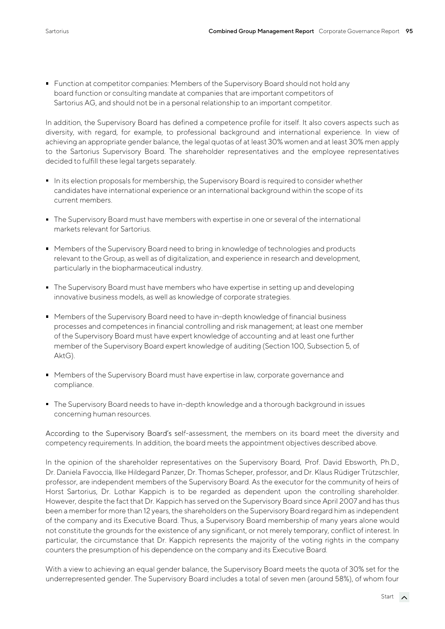**Function at competitor companies: Members of the Supervisory Board should not hold any** board function or consulting mandate at companies that are important competitors of Sartorius AG, and should not be in a personal relationship to an important competitor.

In addition, the Supervisory Board has defined a competence profile for itself. It also covers aspects such as diversity, with regard, for example, to professional background and international experience. In view of achieving an appropriate gender balance, the legal quotas of at least 30% women and at least 30% men apply to the Sartorius Supervisory Board. The shareholder representatives and the employee representatives decided to fulfill these legal targets separately.

- In its election proposals for membership, the Supervisory Board is required to consider whether candidates have international experience or an international background within the scope of its current members.
- The Supervisory Board must have members with expertise in one or several of the international markets relevant for Sartorius.
- Members of the Supervisory Board need to bring in knowledge of technologies and products relevant to the Group, as well as of digitalization, and experience in research and development, particularly in the biopharmaceutical industry.
- The Supervisory Board must have members who have expertise in setting up and developing innovative business models, as well as knowledge of corporate strategies.
- Members of the Supervisory Board need to have in-depth knowledge of financial business processes and competences in financial controlling and risk management; at least one member of the Supervisory Board must have expert knowledge of accounting and at least one further member of the Supervisory Board expert knowledge of auditing (Section 100, Subsection 5, of AktG).
- **Members of the Supervisory Board must have expertise in law, corporate governance and** compliance.
- The Supervisory Board needs to have in-depth knowledge and a thorough background in issues concerning human resources.

According to the Supervisory Board's self-assessment, the members on its board meet the diversity and competency requirements. In addition, the board meets the appointment objectives described above.

In the opinion of the shareholder representatives on the Supervisory Board, Prof. David Ebsworth, Ph.D., Dr. Daniela Favoccia, Ilke Hildegard Panzer, Dr. Thomas Scheper, professor, and Dr. Klaus Rüdiger Trützschler, professor, are independent members of the Supervisory Board. As the executor for the community of heirs of Horst Sartorius, Dr. Lothar Kappich is to be regarded as dependent upon the controlling shareholder. However, despite the fact that Dr. Kappich has served on the Supervisory Board since April 2007 and has thus been a member for more than 12 years, the shareholders on the Supervisory Board regard him as independent of the company and its Executive Board. Thus, a Supervisory Board membership of many years alone would not constitute the grounds for the existence of any significant, or not merely temporary, conflict of interest. In particular, the circumstance that Dr. Kappich represents the majority of the voting rights in the company counters the presumption of his dependence on the company and its Executive Board.

With a view to achieving an equal gender balance, the Supervisory Board meets the quota of 30% set for the underrepresented gender. The Supervisory Board includes a total of seven men (around 58%), of whom four

Start  $\lambda$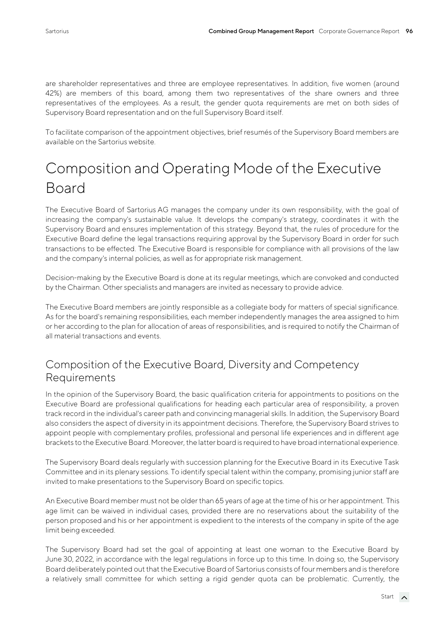are shareholder representatives and three are employee representatives. In addition, five women (around 42%) are members of this board, among them two representatives of the share owners and three representatives of the employees. As a result, the gender quota requirements are met on both sides of Supervisory Board representation and on the full Supervisory Board itself.

To facilitate comparison of the appointment objectives, brief resumés of the Supervisory Board members are available on the Sartorius website.

### Composition and Operating Mode of the Executive Board

The Executive Board of Sartorius AG manages the company under its own responsibility, with the goal of increasing the company's sustainable value. It develops the company's strategy, coordinates it with the Supervisory Board and ensures implementation of this strategy. Beyond that, the rules of procedure for the Executive Board define the legal transactions requiring approval by the Supervisory Board in order for such transactions to be effected. The Executive Board is responsible for compliance with all provisions of the law and the company's internal policies, as well as for appropriate risk management.

Decision-making by the Executive Board is done at its regular meetings, which are convoked and conducted by the Chairman. Other specialists and managers are invited as necessary to provide advice.

The Executive Board members are jointly responsible as a collegiate body for matters of special significance. As for the board's remaining responsibilities, each member independently manages the area assigned to him or her according to the plan for allocation of areas of responsibilities, and is required to notify the Chairman of all material transactions and events.

### Composition of the Executive Board, Diversity and Competency Requirements

In the opinion of the Supervisory Board, the basic qualification criteria for appointments to positions on the Executive Board are professional qualifications for heading each particular area of responsibility, a proven track record in the individual's career path and convincing managerial skills. In addition, the Supervisory Board also considers the aspect of diversity in its appointment decisions. Therefore, the Supervisory Board strives to appoint people with complementary profiles, professional and personal life experiences and in different age brackets to the Executive Board. Moreover, the latter board is required to have broad international experience.

The Supervisory Board deals regularly with succession planning for the Executive Board in its Executive Task Committee and in its plenary sessions. To identify special talent within the company, promising junior staff are invited to make presentations to the Supervisory Board on specific topics.

An Executive Board member must not be older than 65 years of age at the time of his or her appointment. This age limit can be waived in individual cases, provided there are no reservations about the suitability of the person proposed and his or her appointment is expedient to the interests of the company in spite of the age limit being exceeded.

The Supervisory Board had set the goal of appointing at least one woman to the Executive Board by June 30, 2022, in accordance with the legal regulations in force up to this time. In doing so, the Supervisory Board deliberately pointed out that the Executive Board of Sartorius consists of four members and is therefore a relatively small committee for which setting a rigid gender quota can be problematic. Currently, the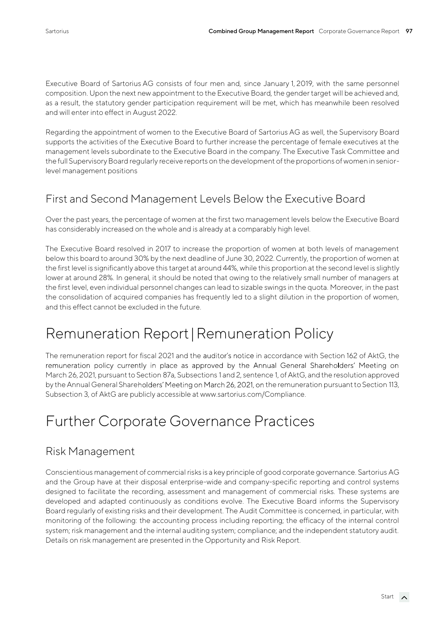Executive Board of Sartorius AG consists of four men and, since January 1, 2019, with the same personnel composition. Upon the next new appointment to the Executive Board, the gender target will be achieved and, as a result, the statutory gender participation requirement will be met, which has meanwhile been resolved and will enter into effect in August 2022.

Regarding the appointment of women to the Executive Board of Sartorius AG as well, the Supervisory Board supports the activities of the Executive Board to further increase the percentage of female executives at the management levels subordinate to the Executive Board in the company. The Executive Task Committee and the full Supervisory Board regularly receive reports on the development of the proportions of women in seniorlevel management positions

### First and Second Management Levels Below the Executive Board

Over the past years, the percentage of women at the first two management levels below the Executive Board has considerably increased on the whole and is already at a comparably high level.

The Executive Board resolved in 2017 to increase the proportion of women at both levels of management below this board to around 30% by the next deadline of June 30, 2022. Currently, the proportion of women at the first level is significantly above this target at around 44%, while this proportion at the second level is slightly lower at around 28%. In general, it should be noted that owing to the relatively small number of managers at the first level, even individual personnel changes can lead to sizable swings in the quota. Moreover, in the past the consolidation of acquired companies has frequently led to a slight dilution in the proportion of women, and this effect cannot be excluded in the future.

# Remuneration Report|Remuneration Policy

The remuneration report for fiscal 2021 and the auditor's notice in accordance with Section 162 of AktG, the remuneration policy currently in place as approved by the Annual General Shareholders' Meeting on March 26, 2021, pursuant to Section 87a, Subsections 1 and 2, sentence 1, of AktG, and the resolution approved by the Annual General Shareholders' Meeting on March 26, 2021, on the remuneration pursuant to Section 113, Subsection 3, of AktG are publicly accessible at www.sartorius.com/Compliance.

# Further Corporate Governance Practices

#### Risk Management

Conscientious management of commercial risks is a key principle of good corporate governance. Sartorius AG and the Group have at their disposal enterprise-wide and company-specific reporting and control systems designed to facilitate the recording, assessment and management of commercial risks. These systems are developed and adapted continuously as conditions evolve. The Executive Board informs the Supervisory Board regularly of existing risks and their development. The Audit Committee is concerned, in particular, with monitoring of the following: the accounting process including reporting; the efficacy of the internal control system; risk management and the internal auditing system; compliance; and the independent statutory audit. Details on risk management are presented in the Opportunity and Risk Report.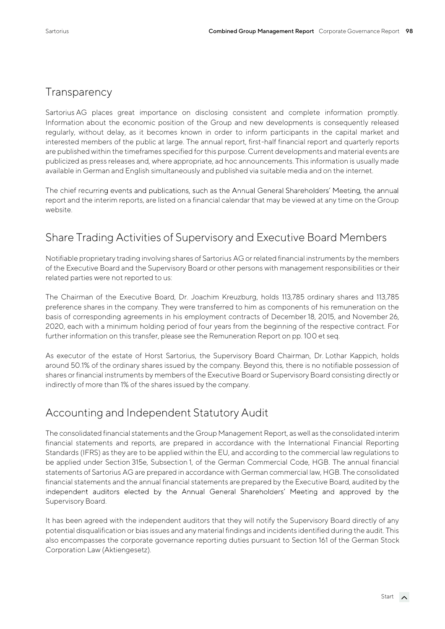### **Transparency**

Sartorius AG places great importance on disclosing consistent and complete information promptly. Information about the economic position of the Group and new developments is consequently released regularly, without delay, as it becomes known in order to inform participants in the capital market and interested members of the public at large. The annual report, first-half financial report and quarterly reports are published within the timeframes specified for this purpose. Current developments and material events are publicized as press releases and, where appropriate, ad hoc announcements. This information is usually made available in German and English simultaneously and published via suitable media and on the internet.

The chief recurring events and publications, such as the Annual General Shareholders' Meeting, the annual report and the interim reports, are listed on a financial calendar that may be viewed at any time on the Group website.

### Share Trading Activities of Supervisory and Executive Board Members

Notifiable proprietary trading involving shares of Sartorius AG or related financial instruments by the members of the Executive Board and the Supervisory Board or other persons with management responsibilities or their related parties were not reported to us:

The Chairman of the Executive Board, Dr. Joachim Kreuzburg, holds 113,785 ordinary shares and 113,785 preference shares in the company. They were transferred to him as components of his remuneration on the basis of corresponding agreements in his employment contracts of December 18, 2015, and November 26, 2020, each with a minimum holding period of four years from the beginning of the respective contract. For further information on this transfer, please see the Remuneration Report on pp. 100 et seq.

As executor of the estate of Horst Sartorius, the Supervisory Board Chairman, Dr. Lothar Kappich, holds around 50.1% of the ordinary shares issued by the company. Beyond this, there is no notifiable possession of shares or financial instruments by members of the Executive Board or Supervisory Board consisting directly or indirectly of more than 1% of the shares issued by the company.

#### Accounting and Independent Statutory Audit

The consolidated financial statements and the Group Management Report, as well as the consolidated interim financial statements and reports, are prepared in accordance with the International Financial Reporting Standards (IFRS) as they are to be applied within the EU, and according to the commercial law regulations to be applied under Section 315e, Subsection 1, of the German Commercial Code, HGB. The annual financial statements of Sartorius AG are prepared in accordance with German commercial law, HGB. The consolidated financial statements and the annual financial statements are prepared by the Executive Board, audited by the independent auditors elected by the Annual General Shareholders' Meeting and approved by the Supervisory Board.

It has been agreed with the independent auditors that they will notify the Supervisory Board directly of any potential disqualification or bias issues and any material findings and incidents identified during the audit. This also encompasses the corporate governance reporting duties pursuant to Section 161 of the German Stock Corporation Law (Aktiengesetz).